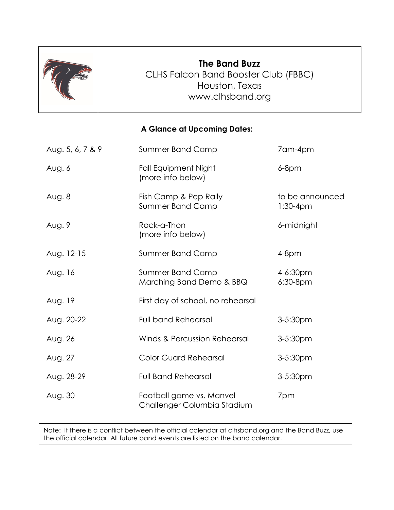

# **The Band Buzz** CLHS Falcon Band Booster Club (FBBC) Houston, Texas [www.clhsband.org](http://www.clhsband.org/)

## **A Glance at Upcoming Dates:**

| Aug. 5, 6, 7 & 9 | <b>Summer Band Camp</b>                                 | 7am-4pm                       |
|------------------|---------------------------------------------------------|-------------------------------|
| Aug. 6           | <b>Fall Equipment Night</b><br>(more info below)        | $6-8$ pm                      |
| Aug. 8           | Fish Camp & Pep Rally<br><b>Summer Band Camp</b>        | to be announced<br>$1:30-4pm$ |
| Aug. 9           | Rock-a-Thon<br>(more info below)                        | 6-midnight                    |
| Aug. 12-15       | <b>Summer Band Camp</b>                                 | $4-8$ pm                      |
| Aug. 16          | <b>Summer Band Camp</b><br>Marching Band Demo & BBQ     | 4-6:30pm<br>$6:30-8$ pm       |
| Aug. 19          | First day of school, no rehearsal                       |                               |
| Aug. 20-22       | <b>Full band Rehearsal</b>                              | 3-5:30pm                      |
| Aug. 26          | <b>Winds &amp; Percussion Rehearsal</b>                 | 3-5:30pm                      |
| Aug. 27          | <b>Color Guard Rehearsal</b>                            | 3-5:30pm                      |
| Aug. 28-29       | <b>Full Band Rehearsal</b>                              | 3-5:30pm                      |
| Aug. 30          | Football game vs. Manvel<br>Challenger Columbia Stadium | 7pm                           |

Note: If there is a conflict between the official calendar at clhsband.org and the Band Buzz, use the official calendar. All future band events are listed on the band calendar.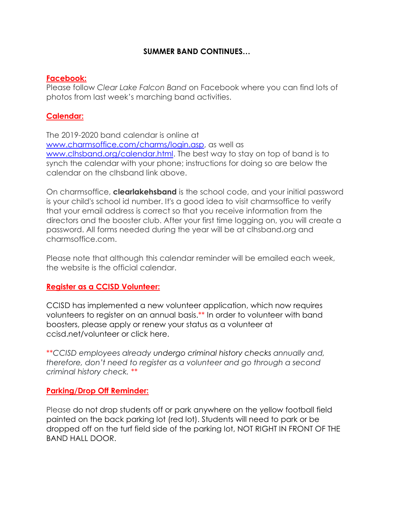## **SUMMER BAND CONTINUES…**

#### **Facebook:**

Please follow *Clear Lake Falcon Band* on Facebook where you can find lots of photos from last week's marching band activities.

## **Calendar:**

The 2019-2020 band calendar is online at www.charmsoffice.com/charms/login.asp, as well as www.clhsband.org/calendar.html. The best way to stay on top of band is to synch the calendar with your phone; instructions for doing so are below the calendar on the clhsband link above.

On charmsoffice, **clearlakehsband** is the school code, and your initial password is your child's school id number. It's a good idea to visit charmsoffice to verify that your email address is correct so that you receive information from the directors and the booster club. After your first time logging on, you will create a password. All forms needed during the year will be at clhsband.org and charmsoffice.com.

Please note that although this calendar reminder will be emailed each week, the website is the official calendar.

#### **Register as a CCISD Volunteer:**

CCISD has implemented a new volunteer application, which now requires volunteers to register on an annual basis.\*\* In order to volunteer with band boosters, please apply or renew your status as a volunteer at [ccisd.net/volunteer](http://track.spe.schoolmessenger.com/f/a/OhoEBeFfxPcb08VHBjkBlg%7E%7E/AAAAAQA%7E/RgRfIcO2P0Q1aHR0cHM6Ly93d3cuY2Npc2QubmV0L2NvbW11bml0eS92b2x1bnRlZXJfaW5mb3JtYXRpb25XB3NjaG9vbG1CCgAANpBAXZBNjPVSFWpqbWNidXJuZXR0QHlhaG9vLmNvbVgEAAAAAQ%7E%7E) or [click here.](http://track.spe.schoolmessenger.com/f/a/kH536BI9yPYjHytwmZhiKw%7E%7E/AAAAAQA%7E/RgRfIcO2P0RHaHR0cHM6Ly9hcHBzLmNjaXNkLm5ldC9Wb2x1bnRlZXJSZWdpc3RyYXRpb24vVm9sdW50ZWVyUmVnaXN0cmF0aW9uLmFzcHhXB3NjaG9vbG1CCgAANpBAXZBNjPVSFWpqbWNidXJuZXR0QHlhaG9vLmNvbVgEAAAAAQ%7E%7E)

\*\**CCISD employees already undergo criminal history checks annually and, therefore, don't need to register as a volunteer and go through a second criminal history check.* \*\*

#### **Parking/Drop Off Reminder:**

Please do not drop students off or park anywhere on the yellow football field painted on the back parking lot (red lot). Students will need to park or be dropped off on the turf field side of the parking lot, NOT RIGHT IN FRONT OF THE BAND HALL DOOR.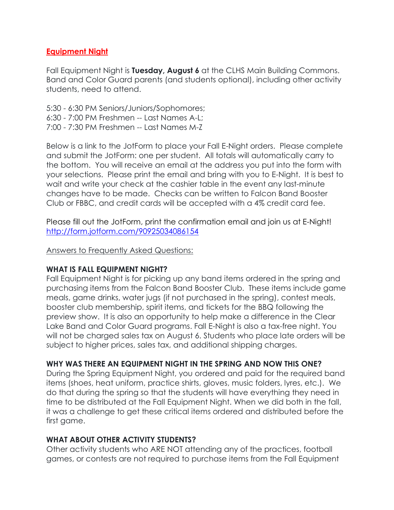## **Equipment Night**

Fall Equipment Night is **Tuesday, August 6** at the CLHS Main Building Commons. Band and Color Guard parents (and students optional), including other activity students, need to attend.

5:30 - 6:30 PM Seniors/Juniors/Sophomores; 6:30 - 7:00 PM Freshmen -- Last Names A-L; 7:00 - 7:30 PM Freshmen -- Last Names M-Z

Below is a link to the JotForm to place your Fall E-Night orders. Please complete and submit the JotForm: one per student. All totals will automatically carry to the bottom. You will receive an email at the address you put into the form with your selections. Please print the email and bring with you to E-Night. It is best to wait and write your check at the cashier table in the event any last-minute changes have to be made. Checks can be written to Falcon Band Booster Club or FBBC, and credit cards will be accepted with a 4% credit card fee.

Please fill out the JotForm, print the confirmation email and join us at E-Night! <http://form.jotform.com/90925034086154>

Answers to Frequently Asked Questions:

#### **WHAT IS FALL EQUIPMENT NIGHT?**

Fall Equipment Night is for picking up any band items ordered in the spring and purchasing items from the Falcon Band Booster Club. These items include game meals, game drinks, water jugs (if not purchased in the spring), contest meals, booster club membership, spirit items, and tickets for the BBQ following the preview show. It is also an opportunity to help make a difference in the Clear Lake Band and Color Guard programs. Fall E-Night is also a tax-free night. You will not be charged sales tax on August 6. Students who place late orders will be subject to higher prices, sales tax, and additional shipping charges.

## **WHY WAS THERE AN EQUIPMENT NIGHT IN THE SPRING AND NOW THIS ONE?**

During the Spring Equipment Night, you ordered and paid for the required band items (shoes, heat uniform, practice shirts, gloves, music folders, lyres, etc.). We do that during the spring so that the students will have everything they need in time to be distributed at the Fall Equipment Night. When we did both in the fall, it was a challenge to get these critical items ordered and distributed before the first game.

## **WHAT ABOUT OTHER ACTIVITY STUDENTS?**

Other activity students who ARE NOT attending any of the practices, football games, or contests are not required to purchase items from the Fall Equipment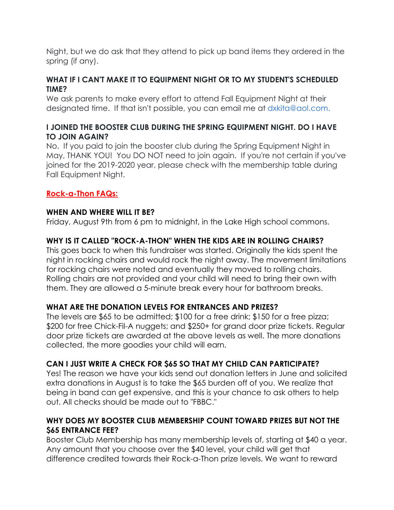Night, but we do ask that they attend to pick up band items they ordered in the spring (if any).

## **WHAT IF I CAN'T MAKE IT TO EQUIPMENT NIGHT OR TO MY STUDENT'S SCHEDULED TIME?**

We ask parents to make every effort to attend Fall Equipment Night at their designated time. If that isn't possible, you can email me at [dxkita@aol.com.](mailto:dxkita@aol.com.)

## **I JOINED THE BOOSTER CLUB DURING THE SPRING EQUIPMENT NIGHT. DO I HAVE TO JOIN AGAIN?**

No. If you paid to join the booster club during the Spring Equipment Night in May, THANK YOU! You DO NOT need to join again. If you're not certain if you've joined for the 2019-2020 year, please check with the membership table during Fall Equipment Night.

## **Rock-a-Thon FAQs:**

## **WHEN AND WHERE WILL IT BE?**

Friday, August 9th from 6 pm to midnight, in the Lake High school commons.

## **WHY IS IT CALLED "ROCK-A-THON" WHEN THE KIDS ARE IN ROLLING CHAIRS?**

This goes back to when this fundraiser was started. Originally the kids spent the night in rocking chairs and would rock the night away. The movement limitations for rocking chairs were noted and eventually they moved to rolling chairs. Rolling chairs are not provided and your child will need to bring their own with them. They are allowed a 5-minute break every hour for bathroom breaks.

## **WHAT ARE THE DONATION LEVELS FOR ENTRANCES AND PRIZES?**

The levels are \$65 to be admitted; \$100 for a free drink; \$150 for a free pizza; \$200 for free Chick-Fil-A nuggets; and \$250+ for grand door prize tickets. Regular door prize tickets are awarded at the above levels as well. The more donations collected, the more goodies your child will earn.

## **CAN I JUST WRITE A CHECK FOR \$65 SO THAT MY CHILD CAN PARTICIPATE?**

Yes! The reason we have your kids send out donation letters in June and solicited extra donations in August is to take the \$65 burden off of you. We realize that being in band can get expensive, and this is your chance to ask others to help out. All checks should be made out to "FBBC."

## **WHY DOES MY BOOSTER CLUB MEMBERSHIP COUNT TOWARD PRIZES BUT NOT THE \$65 ENTRANCE FEE?**

Booster Club Membership has many membership levels of, starting at \$40 a year. Any amount that you choose over the \$40 level, your child will get that difference credited towards their Rock-a-Thon prize levels. We want to reward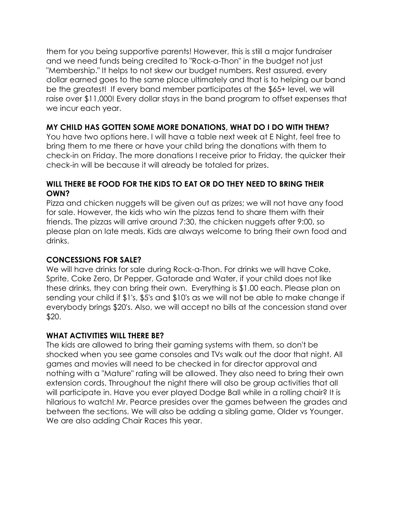them for you being supportive parents! However, this is still a major fundraiser and we need funds being credited to "Rock-a-Thon" in the budget not just "Membership." It helps to not skew our budget numbers. Rest assured, every dollar earned goes to the same place ultimately and that is to helping our band be the greatest! If every band member participates at the \$65+ level, we will raise over \$11,000! Every dollar stays in the band program to offset expenses that we incur each year.

## **MY CHILD HAS GOTTEN SOME MORE DONATIONS, WHAT DO I DO WITH THEM?**

You have two options here. I will have a table next week at E Night, feel free to bring them to me there or have your child bring the donations with them to check-in on Friday. The more donations I receive prior to Friday, the quicker their check-in will be because it will already be totaled for prizes.

## **WILL THERE BE FOOD FOR THE KIDS TO EAT OR DO THEY NEED TO BRING THEIR OWN?**

Pizza and chicken nuggets will be given out as prizes; we will not have any food for sale. However, the kids who win the pizzas tend to share them with their friends. The pizzas will arrive around 7:30, the chicken nuggets after 9:00, so please plan on late meals. Kids are always welcome to bring their own food and drinks.

## **CONCESSIONS FOR SALE?**

We will have drinks for sale during Rock-a-Thon. For drinks we will have Coke, Sprite, Coke Zero, Dr Pepper, Gatorade and Water, if your child does not like these drinks, they can bring their own. Everything is \$1.00 each. Please plan on sending your child if \$1's, \$5's and \$10's as we will not be able to make change if everybody brings \$20's. Also, we will accept no bills at the concession stand over \$20.

#### **WHAT ACTIVITIES WILL THERE BE?**

The kids are allowed to bring their gaming systems with them, so don't be shocked when you see game consoles and TVs walk out the door that night. All games and movies will need to be checked in for director approval and nothing with a "Mature" rating will be allowed. They also need to bring their own extension cords. Throughout the night there will also be group activities that all will participate in. Have you ever played Dodge Ball while in a rolling chair? It is hilarious to watch! Mr. Pearce presides over the games between the grades and between the sections. We will also be adding a sibling game, Older vs Younger. We are also adding Chair Races this year.